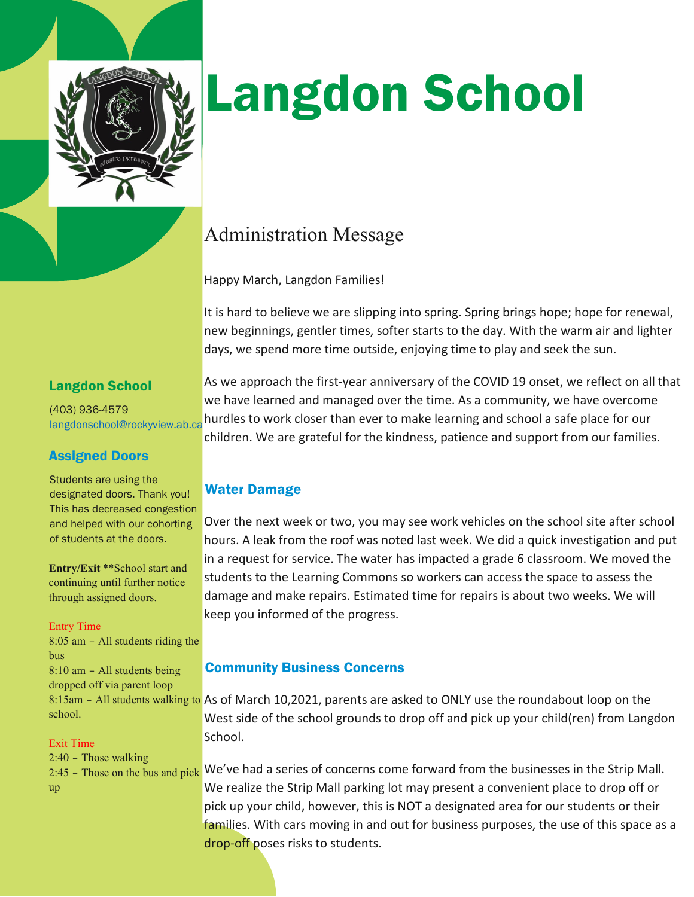

# Langdon School

# Administration Message

Happy March, Langdon Families!

It is hard to believe we are slipping into spring. Spring brings hope; hope for renewal, new beginnings, gentler times, softer starts to the day. With the warm air and lighter days, we spend more time outside, enjoying time to play and seek the sun.

As we approach the first-year anniversary of the COVID 19 onset, we reflect on all that

# Langdon School

(403) 936-4579 [langdonschool@rockyview.ab.ca](mailto:langdonschool@rockyview.ab.ca) we have learned and managed over the time. As a community, we have overcome hurdles to work closer than ever to make learning and school a safe place for our

children. We are grateful for the kindness, patience and support from our families.

## Assigned Doors

Students are using the designated doors. Thank you! This has decreased congestion and helped with our cohorting of students at the doors.

**Entry/Exit** \*\*School start and continuing until further notice through assigned doors.

#### Entry Time

8:05 am – All students riding the bus 8:10 am – All students being dropped off via parent loop school.

#### Exit Time

2:40 – Those walking up

#### Water Damage

Over the next week or two, you may see work vehicles on the school site after school hours. A leak from the roof was noted last week. We did a quick investigation and put in a request for service. The water has impacted a grade 6 classroom. We moved the students to the Learning Commons so workers can access the space to assess the damage and make repairs. Estimated time for repairs is about two weeks. We will keep you informed of the progress.

### Community Business Concerns

8:15am - All students walking to As of March 10,2021, parents are asked to ONLY use the roundabout loop on the West side of the school grounds to drop off and pick up your child(ren) from Langdon School.

 $2.45$  – Those on the bus and pick We've had a series of concerns come forward from the businesses in the Strip Mall. We realize the Strip Mall parking lot may present a convenient place to drop off or pick up your child, however, this is NOT a designated area for our students or their families. With cars moving in and out for business purposes, the use of this space as a drop-off poses risks to students.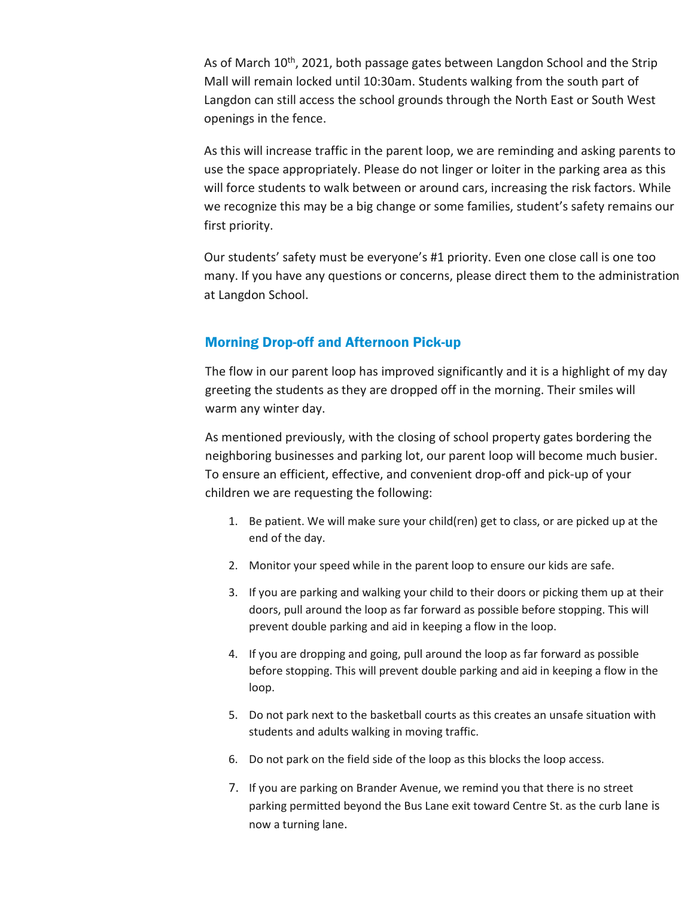As of March 10<sup>th</sup>, 2021, both passage gates between Langdon School and the Strip Mall will remain locked until 10:30am. Students walking from the south part of Langdon can still access the school grounds through the North East or South West openings in the fence.

As this will increase traffic in the parent loop, we are reminding and asking parents to use the space appropriately. Please do not linger or loiter in the parking area as this will force students to walk between or around cars, increasing the risk factors. While we recognize this may be a big change or some families, student's safety remains our first priority.

Our students' safety must be everyone's #1 priority. Even one close call is one too many. If you have any questions or concerns, please direct them to the administration at Langdon School.

#### Morning Drop-off and Afternoon Pick-up

The flow in our parent loop has improved significantly and it is a highlight of my day greeting the students as they are dropped off in the morning. Their smiles will warm any winter day.

As mentioned previously, with the closing of school property gates bordering the neighboring businesses and parking lot, our parent loop will become much busier. To ensure an efficient, effective, and convenient drop-off and pick-up of your children we are requesting the following:

- 1. Be patient. We will make sure your child(ren) get to class, or are picked up at the end of the day.
- 2. Monitor your speed while in the parent loop to ensure our kids are safe.
- 3. If you are parking and walking your child to their doors or picking them up at their doors, pull around the loop as far forward as possible before stopping. This will prevent double parking and aid in keeping a flow in the loop.
- 4. If you are dropping and going, pull around the loop as far forward as possible before stopping. This will prevent double parking and aid in keeping a flow in the loop.
- 5. Do not park next to the basketball courts as this creates an unsafe situation with students and adults walking in moving traffic.
- 6. Do not park on the field side of the loop as this blocks the loop access.
- 7. If you are parking on Brander Avenue, we remind you that there is no street parking permitted beyond the Bus Lane exit toward Centre St. as the curb lane is now a turning lane.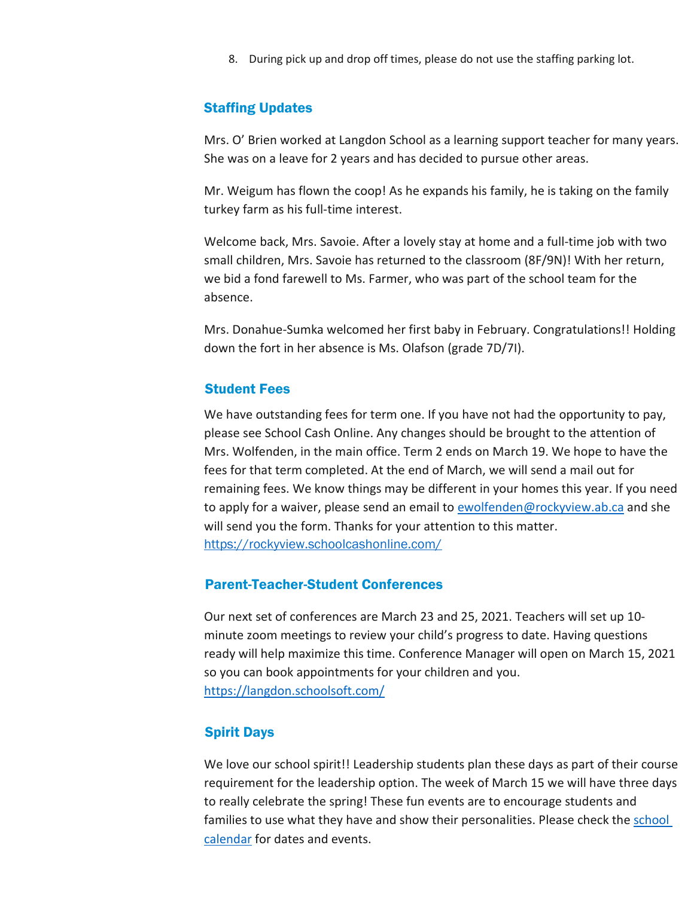8. During pick up and drop off times, please do not use the staffing parking lot.

#### Staffing Updates

Mrs. O' Brien worked at Langdon School as a learning support teacher for many years. She was on a leave for 2 years and has decided to pursue other areas.

Mr. Weigum has flown the coop! As he expands his family, he is taking on the family turkey farm as his full-time interest.

Welcome back, Mrs. Savoie. After a lovely stay at home and a full-time job with two small children, Mrs. Savoie has returned to the classroom (8F/9N)! With her return, we bid a fond farewell to Ms. Farmer, who was part of the school team for the absence.

Mrs. Donahue-Sumka welcomed her first baby in February. Congratulations!! Holding down the fort in her absence is Ms. Olafson (grade 7D/7I).

#### Student Fees

We have outstanding fees for term one. If you have not had the opportunity to pay, please see School Cash Online. Any changes should be brought to the attention of Mrs. Wolfenden, in the main office. Term 2 ends on March 19. We hope to have the fees for that term completed. At the end of March, we will send a mail out for remaining fees. We know things may be different in your homes this year. If you need to apply for a waiver, please send an email t[o ewolfenden@rockyview.ab.ca](mailto:ewolfenden@rockyview.ab.ca) and she will send you the form. Thanks for your attention to this matter. <https://rockyview.schoolcashonline.com/>

#### Parent-Teacher-Student Conferences

Our next set of conferences are March 23 and 25, 2021. Teachers will set up 10 minute zoom meetings to review your child's progress to date. Having questions ready will help maximize this time. Conference Manager will open on March 15, 2021 so you can book appointments for your children and you. <https://langdon.schoolsoft.com/>

#### Spirit Days

We love our school spirit!! Leadership students plan these days as part of their course requirement for the leadership option. The week of March 15 we will have three days to really celebrate the spring! These fun events are to encourage students and families to use what they have and show their personalities. Please check the school [calendar](https://langdon.rockyview.ab.ca/full-calendar) for dates and events.